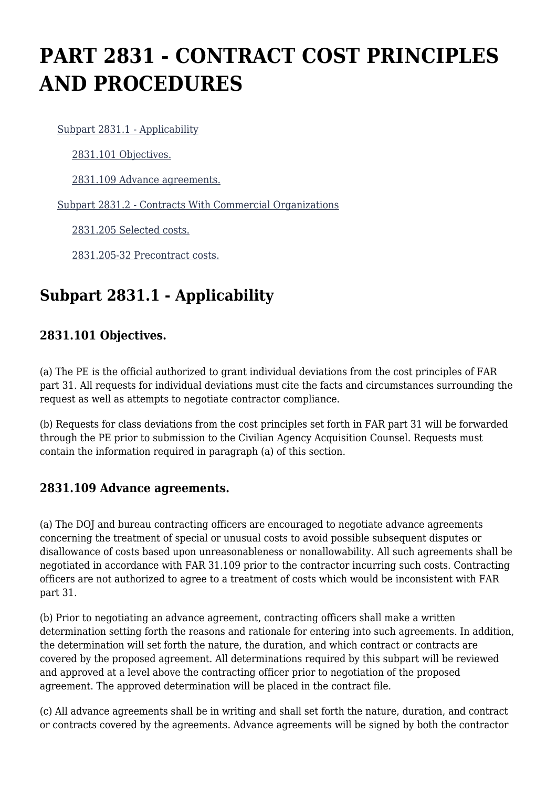# **PART 2831 - CONTRACT COST PRINCIPLES AND PROCEDURES**

[Subpart 2831.1 - Applicability](https://login.acquisition.gov/%5Brp:link:jar-part-2831%5D#Subpart_2831_1_T48_601164261)

[2831.101 Objectives.](https://login.acquisition.gov/%5Brp:link:jar-part-2831%5D#Section_2831_101_T48_60116426111)

[2831.109 Advance agreements.](https://login.acquisition.gov/%5Brp:link:jar-part-2831%5D#Section_2831_109_T48_60116426112)

[Subpart 2831.2 - Contracts With Commercial Organizations](https://login.acquisition.gov/%5Brp:link:jar-part-2831%5D#Subpart_2831_2_T48_601164262)

[2831.205 Selected costs.](https://login.acquisition.gov/%5Brp:link:jar-part-2831%5D#Section_2831_205_T48_60116426211)

[2831.205-32 Precontract costs.](https://login.acquisition.gov/%5Brp:link:jar-part-2831%5D#Section_2831_205_32_T48_60116426212)

# **Subpart 2831.1 - Applicability**

#### **2831.101 Objectives.**

(a) The PE is the official authorized to grant individual deviations from the cost principles of FAR part 31. All requests for individual deviations must cite the facts and circumstances surrounding the request as well as attempts to negotiate contractor compliance.

(b) Requests for class deviations from the cost principles set forth in FAR part 31 will be forwarded through the PE prior to submission to the Civilian Agency Acquisition Counsel. Requests must contain the information required in paragraph (a) of this section.

#### **2831.109 Advance agreements.**

(a) The DOJ and bureau contracting officers are encouraged to negotiate advance agreements concerning the treatment of special or unusual costs to avoid possible subsequent disputes or disallowance of costs based upon unreasonableness or nonallowability. All such agreements shall be negotiated in accordance with FAR 31.109 prior to the contractor incurring such costs. Contracting officers are not authorized to agree to a treatment of costs which would be inconsistent with FAR part 31.

(b) Prior to negotiating an advance agreement, contracting officers shall make a written determination setting forth the reasons and rationale for entering into such agreements. In addition, the determination will set forth the nature, the duration, and which contract or contracts are covered by the proposed agreement. All determinations required by this subpart will be reviewed and approved at a level above the contracting officer prior to negotiation of the proposed agreement. The approved determination will be placed in the contract file.

(c) All advance agreements shall be in writing and shall set forth the nature, duration, and contract or contracts covered by the agreements. Advance agreements will be signed by both the contractor